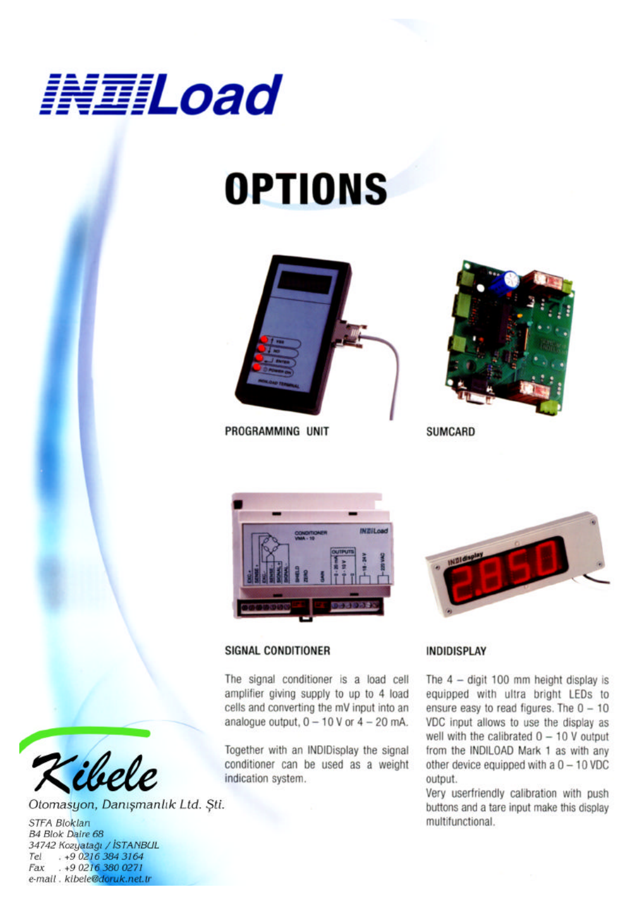

# **OPTIONS**



PROGRAMMING UNIT



**SUMCARD** 



### **SIGNAL CONDITIONER**

The signal conditioner is a load cell amplifier giving supply to up to 4 load cells and converting the mV input into an analogue output,  $0 - 10$  V or  $4 - 20$  mA.

Together with an INDIDisplay the signal conditioner can be used as a weight indication system.



### **INDIDISPLAY**

The  $4 -$  digit 100 mm height display is equipped with ultra bright LEDs to ensure easy to read figures. The  $0 - 10$ VDC input allows to use the display as well with the calibrated  $0 - 10$  V output from the INDILOAD Mark 1 as with any other device equipped with a  $0 - 10$  VDC output.

Very userfriendly calibration with push buttons and a tare input make this display multifunctional.



Otomasyon, Danışmanlık Ltd. Şti.

**STFA Bloklan** B4 Blok Daire 68 34742 Kozyatağı / İSTANBUL<br>Tel . +9 0216 384 3164 . +9 0216 380 0271 Fax e-mail . kibele@doruk.net.tr